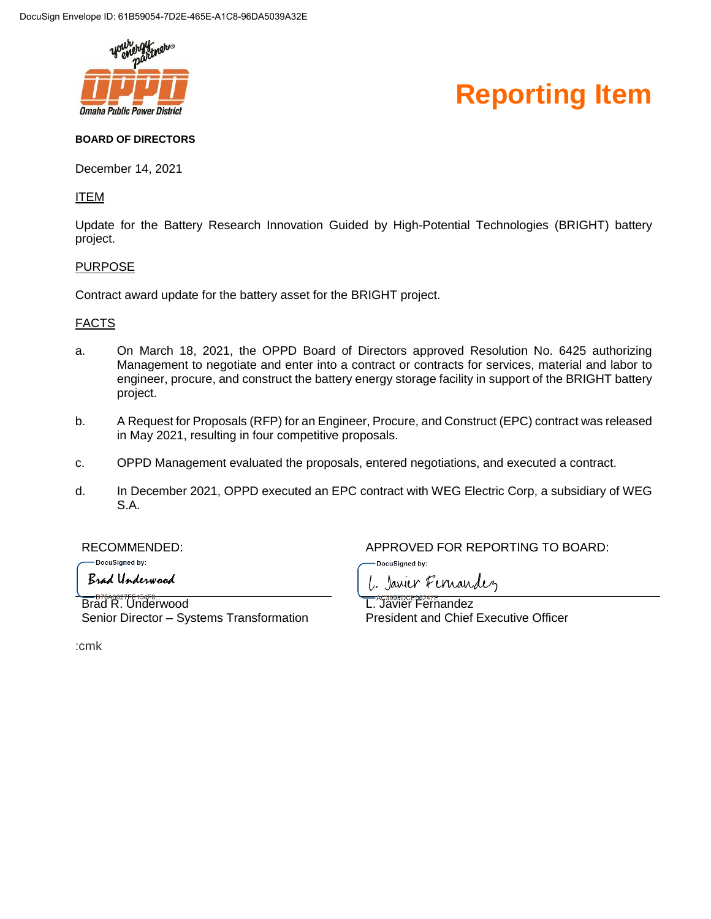

### **Reporting Item**

#### **BOARD OF DIRECTORS**

December 14, 2021

### ITEM

Update for the Battery Research Innovation Guided by High-Potential Technologies (BRIGHT) battery project.

#### **PURPOSE**

Contract award update for the battery asset for the BRIGHT project.

#### FACTS

- a. On March 18, 2021, the OPPD Board of Directors approved Resolution No. 6425 authorizing Management to negotiate and enter into a contract or contracts for services, material and labor to engineer, procure, and construct the battery energy storage facility in support of the BRIGHT battery project.
- b. A Request for Proposals (RFP) for an Engineer, Procure, and Construct (EPC) contract was released in May 2021, resulting in four competitive proposals.
- c. OPPD Management evaluated the proposals, entered negotiations, and executed a contract.
- d. In December 2021, OPPD executed an EPC contract with WEG Electric Corp, a subsidiary of WEG S.A.

-DocuSigned by:

Brad Underwood

RECOMMENDED: APPROVED FOR REPORTING TO BOARD:

DocuSigned by:

L. Janier Fernandez

Brad R. Underwood Senior Director – Systems Transformation

L. Javier Fernandez President and Chief Executive Officer

:cmk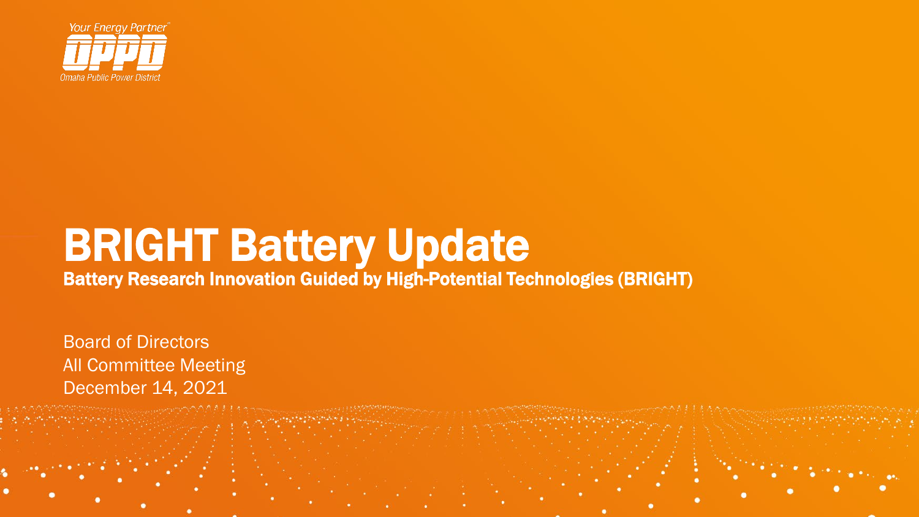

### BRIGHT Battery Update

Battery Research Innovation Guided by High-Potential Technologies (BRIGHT)

Board of Directors All Committee Meeting December 14, 2021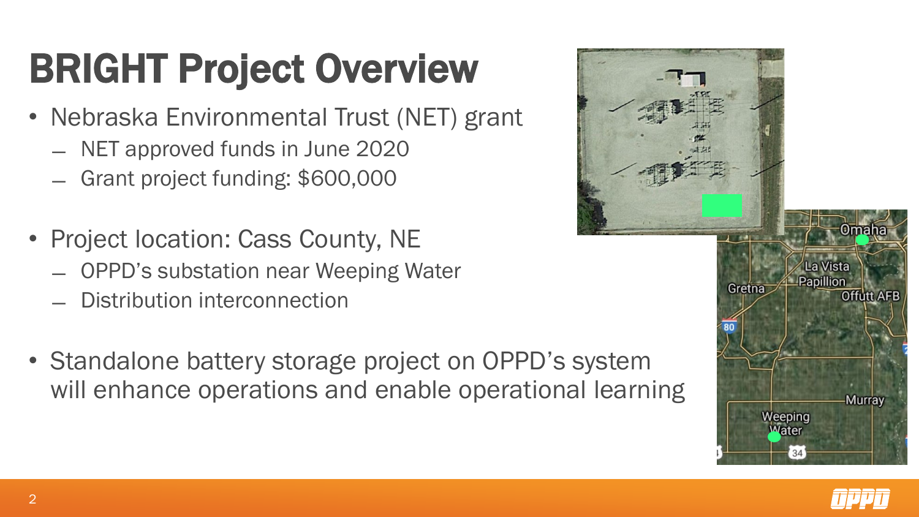# BRIGHT Project Overview

- Nebraska Environmental Trust (NET) grant
	- ̶ NET approved funds in June 2020
	- ̶ Grant project funding: \$600,000
- Project location: Cass County, NE
	- ̶ OPPD's substation near Weeping Water
	- ̶ Distribution interconnection
- Standalone battery storage project on OPPD's system will enhance operations and enable operational learning



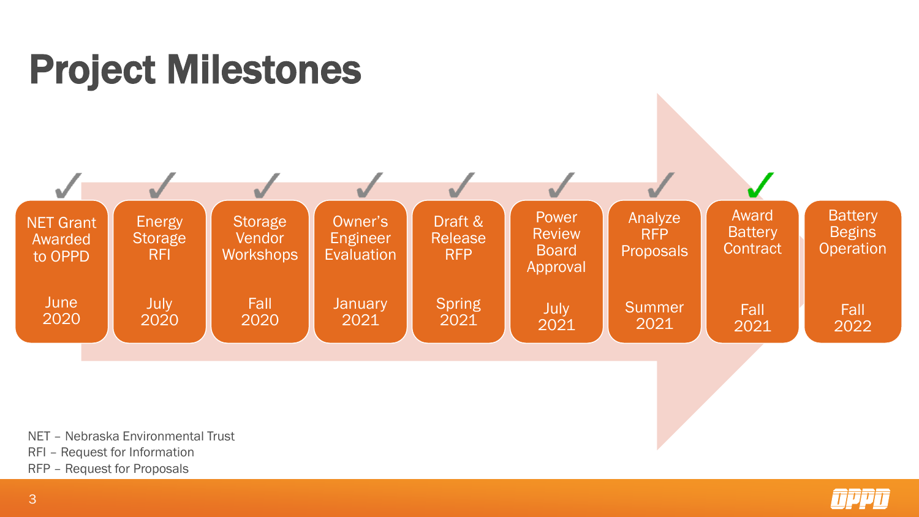

NET – Nebraska Environmental Trust

RFI – Request for Information

RFP – Request for Proposals

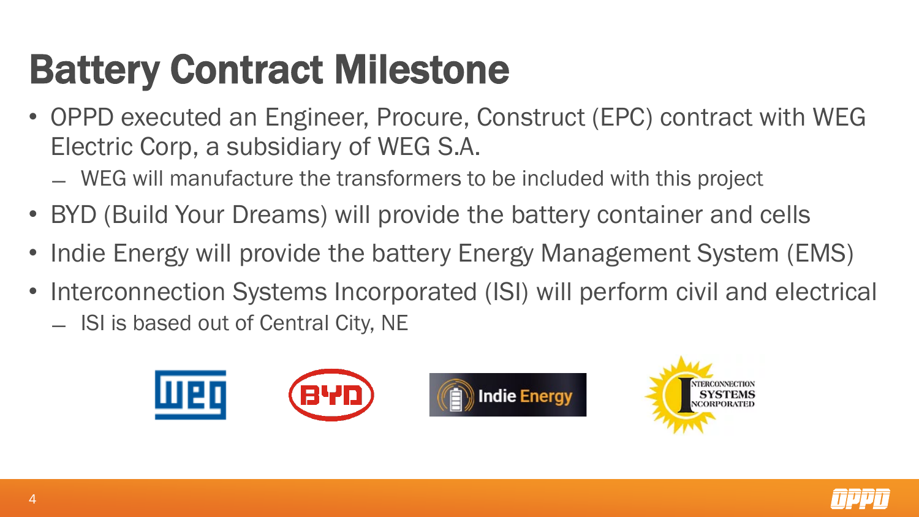## Battery Contract Milestone

- OPPD executed an Engineer, Procure, Construct (EPC) contract with WEG Electric Corp, a subsidiary of WEG S.A.
	- ̶ WEG will manufacture the transformers to be included with this project
- BYD (Build Your Dreams) will provide the battery container and cells
- Indie Energy will provide the battery Energy Management System (EMS)
- Interconnection Systems Incorporated (ISI) will perform civil and electrical
	- ̶ ISI is based out of Central City, NE



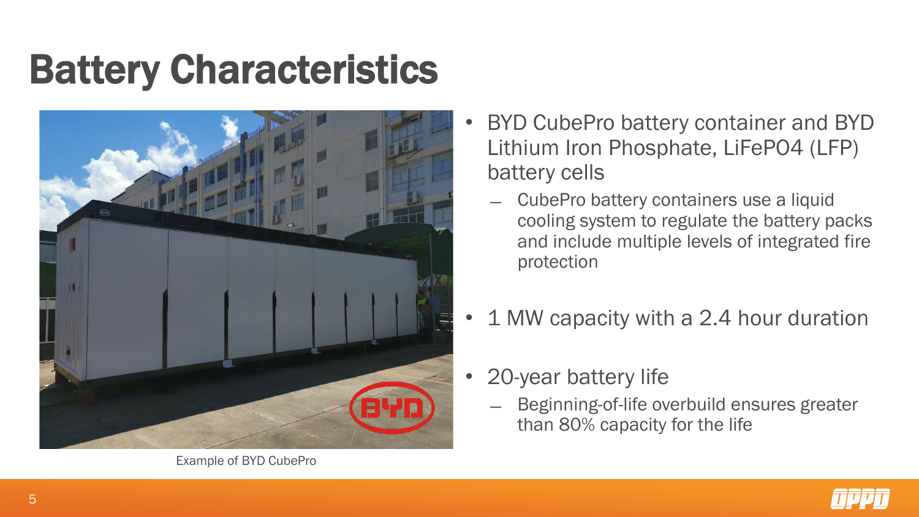### Battery Characteristics



Example of BYD CubePro

- BYD CubePro battery container and BYD Lithium Iron Phosphate, LiFePO4 (LFP) battery cells
	- ̶ CubePro battery containers use a liquid cooling system to regulate the battery packs and include multiple levels of integrated fire protection
- 1 MW capacity with a 2.4 hour duration
- 20-year battery life
	- ̶ Beginning-of-life overbuild ensures greater than 80% capacity for the life